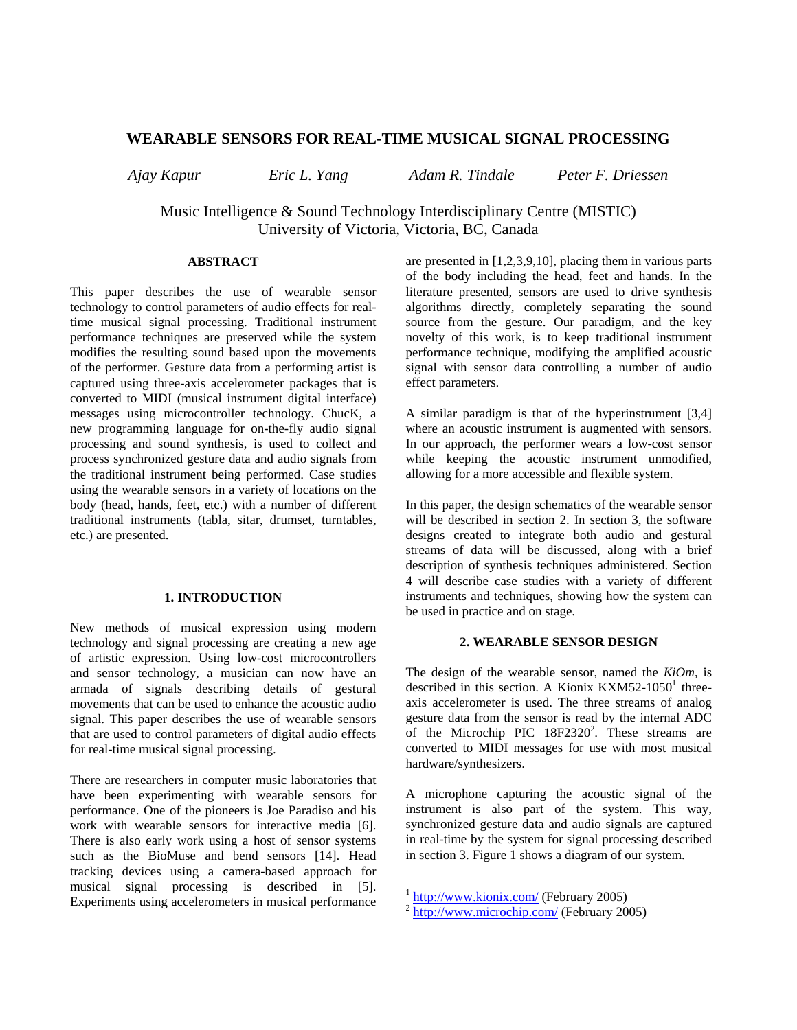# **WEARABLE SENSORS FOR REAL-TIME MUSICAL SIGNAL PROCESSING**

*Ajay Kapur Eric L. Yang Adam R. Tindale Peter F. Driessen* 

Music Intelligence & Sound Technology Interdisciplinary Centre (MISTIC) University of Victoria, Victoria, BC, Canada

## **ABSTRACT**

This paper describes the use of wearable sensor technology to control parameters of audio effects for realtime musical signal processing. Traditional instrument performance techniques are preserved while the system modifies the resulting sound based upon the movements of the performer. Gesture data from a performing artist is captured using three-axis accelerometer packages that is converted to MIDI (musical instrument digital interface) messages using microcontroller technology. ChucK, a new programming language for on-the-fly audio signal processing and sound synthesis, is used to collect and process synchronized gesture data and audio signals from the traditional instrument being performed. Case studies using the wearable sensors in a variety of locations on the body (head, hands, feet, etc.) with a number of different traditional instruments (tabla, sitar, drumset, turntables, etc.) are presented.

#### **1. INTRODUCTION**

New methods of musical expression using modern technology and signal processing are creating a new age of artistic expression. Using low-cost microcontrollers and sensor technology, a musician can now have an armada of signals describing details of gestural movements that can be used to enhance the acoustic audio signal. This paper describes the use of wearable sensors that are used to control parameters of digital audio effects for real-time musical signal processing.

There are researchers in computer music laboratories that have been experimenting with wearable sensors for performance. One of the pioneers is Joe Paradiso and his work with wearable sensors for interactive media [6]. There is also early work using a host of sensor systems such as the BioMuse and bend sensors [14]. Head tracking devices using a camera-based approach for musical signal processing is described in [5]. Experiments using accelerometers in musical performance

are presented in [1,2,3,9,10], placing them in various parts of the body including the head, feet and hands. In the literature presented, sensors are used to drive synthesis algorithms directly, completely separating the sound source from the gesture. Our paradigm, and the key novelty of this work, is to keep traditional instrument performance technique, modifying the amplified acoustic signal with sensor data controlling a number of audio effect parameters.

A similar paradigm is that of the hyperinstrument [3,4] where an acoustic instrument is augmented with sensors. In our approach, the performer wears a low-cost sensor while keeping the acoustic instrument unmodified, allowing for a more accessible and flexible system.

In this paper, the design schematics of the wearable sensor will be described in section 2. In section 3, the software designs created to integrate both audio and gestural streams of data will be discussed, along with a brief description of synthesis techniques administered. Section 4 will describe case studies with a variety of different instruments and techniques, showing how the system can be used in practice and on stage.

### **2. WEARABLE SENSOR DESIGN**

The design of the wearable sensor, named the *KiOm*, is described in this section. A Kionix KXM52-1050<sup>1</sup> threeaxis accelerometer is used. The three streams of analog gesture data from the sensor is read by the internal ADC of the Microchip PIC  $18F2320^2$ . These streams are converted to MIDI messages for use with most musical hardware/synthesizers.

A microphone capturing the acoustic signal of the instrument is also part of the system. This way, synchronized gesture data and audio signals are captured in real-time by the system for signal processing described in section 3. Figure 1 shows a diagram of our system.

 $1$  http://www.kionix.com/ (February 2005)

 $\frac{1}{2}$  http://www.microchip.com/ (February 2005)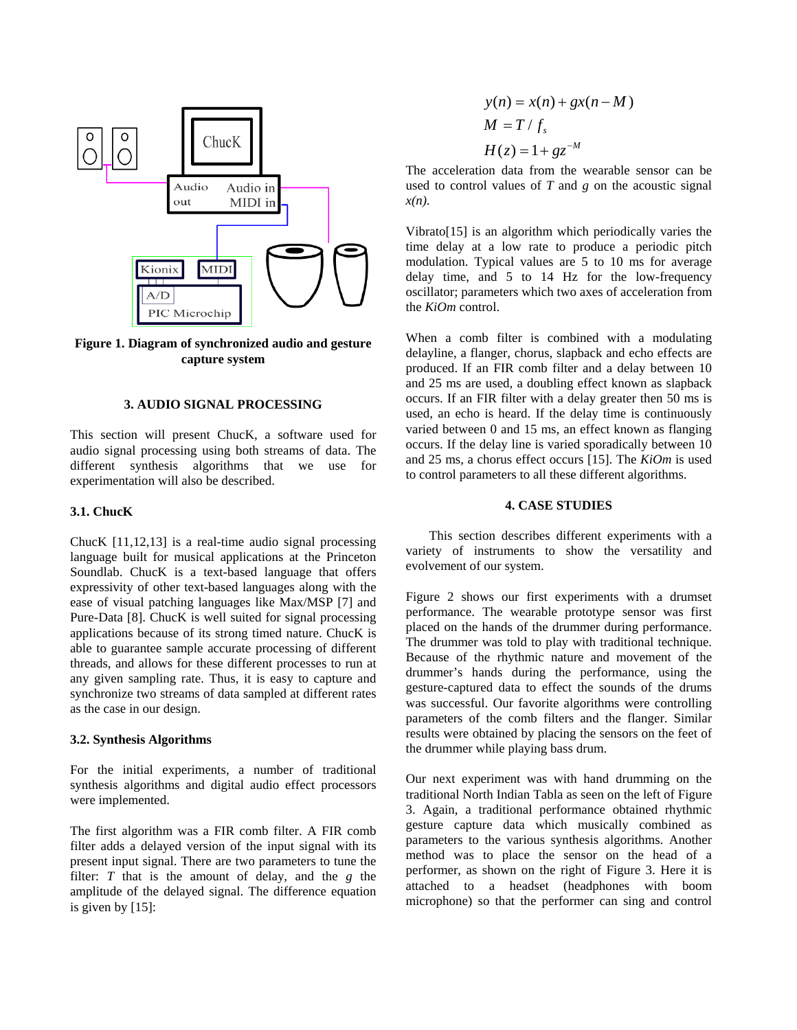

**Figure 1. Diagram of synchronized audio and gesture capture system** 

#### **3. AUDIO SIGNAL PROCESSING**

This section will present ChucK, a software used for audio signal processing using both streams of data. The different synthesis algorithms that we use for experimentation will also be described.

#### **3.1. ChucK**

ChucK [11,12,13] is a real-time audio signal processing language built for musical applications at the Princeton Soundlab. ChucK is a text-based language that offers expressivity of other text-based languages along with the ease of visual patching languages like Max/MSP [7] and Pure-Data [8]. ChucK is well suited for signal processing applications because of its strong timed nature. ChucK is able to guarantee sample accurate processing of different threads, and allows for these different processes to run at any given sampling rate. Thus, it is easy to capture and synchronize two streams of data sampled at different rates as the case in our design.

#### **3.2. Synthesis Algorithms**

For the initial experiments, a number of traditional synthesis algorithms and digital audio effect processors were implemented.

The first algorithm was a FIR comb filter. A FIR comb filter adds a delayed version of the input signal with its present input signal. There are two parameters to tune the filter: *T* that is the amount of delay, and the *g* the amplitude of the delayed signal. The difference equation is given by [15]:

$$
y(n) = x(n) + gx(n-M)
$$
  

$$
M = T / f_s
$$
  

$$
H(z) = 1 + gz^{-M}
$$

The acceleration data from the wearable sensor can be used to control values of *T* and *g* on the acoustic signal *x(n)*.

Vibrato[15] is an algorithm which periodically varies the time delay at a low rate to produce a periodic pitch modulation. Typical values are 5 to 10 ms for average delay time, and 5 to 14 Hz for the low-frequency oscillator; parameters which two axes of acceleration from the *KiOm* control.

When a comb filter is combined with a modulating delayline, a flanger, chorus, slapback and echo effects are produced. If an FIR comb filter and a delay between 10 and 25 ms are used, a doubling effect known as slapback occurs. If an FIR filter with a delay greater then 50 ms is used, an echo is heard. If the delay time is continuously varied between 0 and 15 ms, an effect known as flanging occurs. If the delay line is varied sporadically between 10 and 25 ms, a chorus effect occurs [15]. The *KiOm* is used to control parameters to all these different algorithms.

#### **4. CASE STUDIES**

This section describes different experiments with a variety of instruments to show the versatility and evolvement of our system.

Figure 2 shows our first experiments with a drumset performance. The wearable prototype sensor was first placed on the hands of the drummer during performance. The drummer was told to play with traditional technique. Because of the rhythmic nature and movement of the drummer's hands during the performance, using the gesture-captured data to effect the sounds of the drums was successful. Our favorite algorithms were controlling parameters of the comb filters and the flanger. Similar results were obtained by placing the sensors on the feet of the drummer while playing bass drum.

Our next experiment was with hand drumming on the traditional North Indian Tabla as seen on the left of Figure 3. Again, a traditional performance obtained rhythmic gesture capture data which musically combined as parameters to the various synthesis algorithms. Another method was to place the sensor on the head of a performer, as shown on the right of Figure 3. Here it is attached to a headset (headphones with boom microphone) so that the performer can sing and control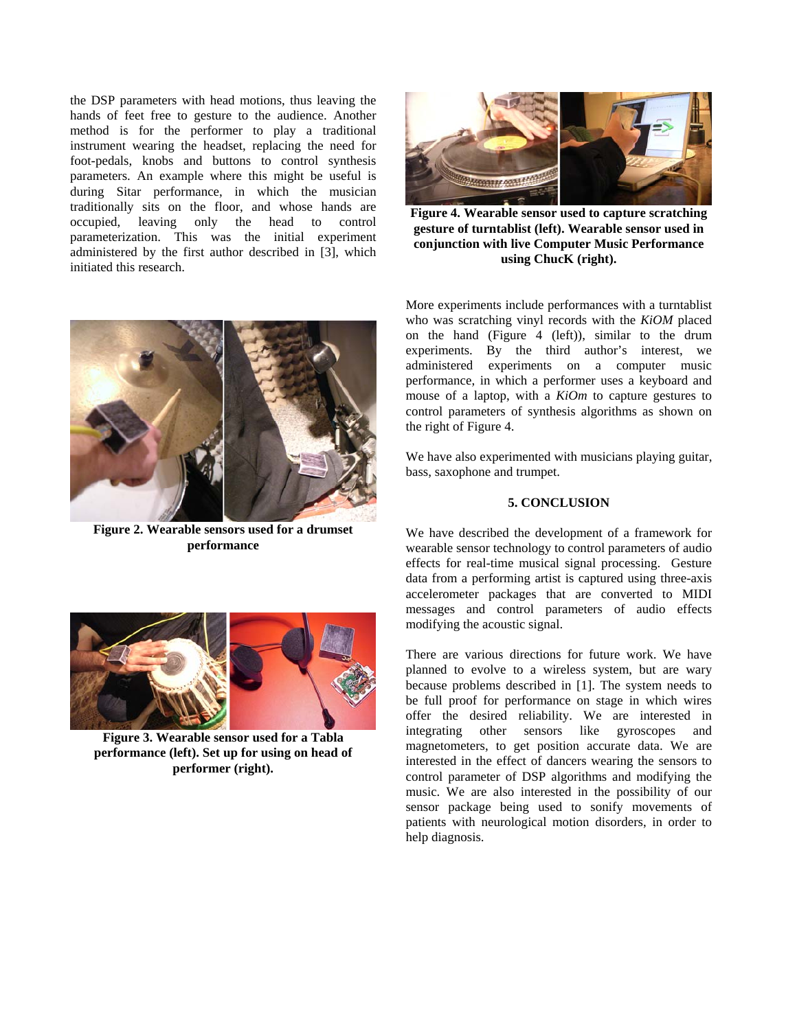the DSP parameters with head motions, thus leaving the hands of feet free to gesture to the audience. Another method is for the performer to play a traditional instrument wearing the headset, replacing the need for foot-pedals, knobs and buttons to control synthesis parameters. An example where this might be useful is during Sitar performance, in which the musician traditionally sits on the floor, and whose hands are occupied, leaving only the head to control parameterization. This was the initial experiment administered by the first author described in [3], which initiated this research.



**Figure 2. Wearable sensors used for a drumset performance** 



**Figure 3. Wearable sensor used for a Tabla performance (left). Set up for using on head of performer (right).** 



**Figure 4. Wearable sensor used to capture scratching gesture of turntablist (left). Wearable sensor used in conjunction with live Computer Music Performance using ChucK (right).** 

More experiments include performances with a turntablist who was scratching vinyl records with the *KiOM* placed on the hand (Figure 4 (left)), similar to the drum experiments. By the third author's interest, we administered experiments on a computer music performance, in which a performer uses a keyboard and mouse of a laptop, with a *KiOm* to capture gestures to control parameters of synthesis algorithms as shown on the right of Figure 4.

We have also experimented with musicians playing guitar, bass, saxophone and trumpet.

## **5. CONCLUSION**

We have described the development of a framework for wearable sensor technology to control parameters of audio effects for real-time musical signal processing. Gesture data from a performing artist is captured using three-axis accelerometer packages that are converted to MIDI messages and control parameters of audio effects modifying the acoustic signal.

There are various directions for future work. We have planned to evolve to a wireless system, but are wary because problems described in [1]. The system needs to be full proof for performance on stage in which wires offer the desired reliability. We are interested in integrating other sensors like gyroscopes and magnetometers, to get position accurate data. We are interested in the effect of dancers wearing the sensors to control parameter of DSP algorithms and modifying the music. We are also interested in the possibility of our sensor package being used to sonify movements of patients with neurological motion disorders, in order to help diagnosis.